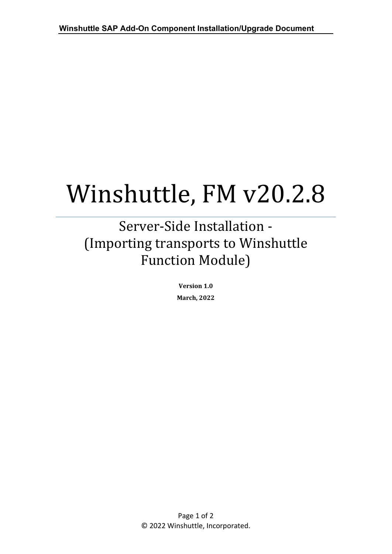## Winshuttle, FM v20.2.8

## Server-Side Installation - (Importing transports to Winshuttle Function Module)

**Version 1.0 March, 2022**